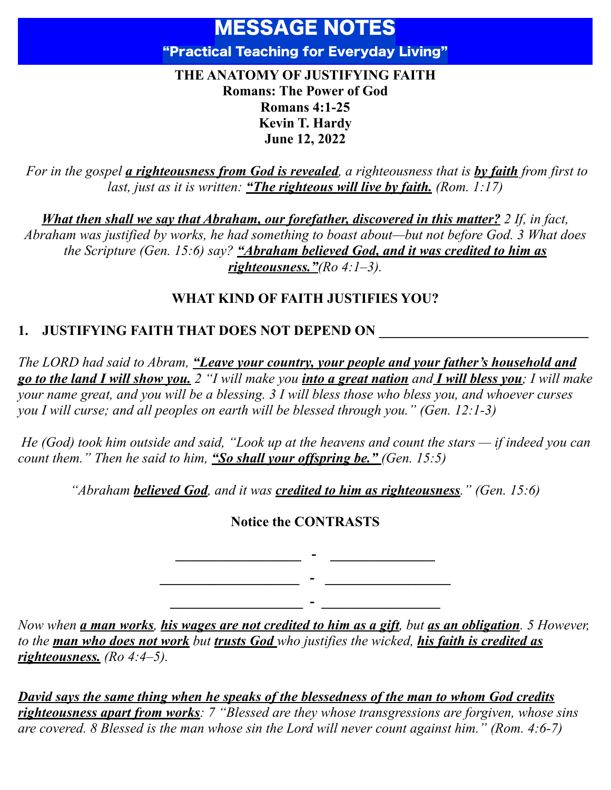# MESSAGE NOTES "Practical Teaching for Everyday Living"

#### **THE ANATOMY OF JUSTIFYING FAITH Romans: The Power of God Romans 4:1-25 Kevin T. Hardy June 12, 2022**

 *For in the gospel a righteousness from God is revealed, a righteousness that is by faith from first to last, just as it is written: "The righteous will live by faith. (Rom. 1:17)*

*What then shall we say that Abraham, our forefather, discovered in this matter? 2 If, in fact, Abraham was justified by works, he had something to boast about—but not before God. 3 What does the Scripture (Gen. 15:6) say? "Abraham believed God, and it was credited to him as righteousness."(Ro 4:1–3).*

### **WHAT KIND OF FAITH JUSTIFIES YOU?**

# **1. JUSTIFYING FAITH THAT DOES NOT DEPEND ON**

*The LORD had said to Abram, "Leave your country, your people and your father's household and go to the land I will show you. 2 "I will make you into a great nation and I will bless you; I will make your name great, and you will be a blessing. 3 I will bless those who bless you, and whoever curses you I will curse; and all peoples on earth will be blessed through you." (Gen. 12:1-3)*

 *He (God) took him outside and said, "Look up at the heavens and count the stars — if indeed you can count them." Then he said to him, "So shall your offspring be." (Gen. 15:5)*

*"Abraham believed God, and it was credited to him as righteousness." (Gen. 15:6)*

### **Notice the CONTRASTS**

**\_\_\_\_\_\_\_\_\_\_\_\_\_\_\_\_\_\_ - \_\_\_\_\_\_\_\_\_\_\_\_\_\_\_ \_\_\_\_\_\_\_\_\_\_\_\_\_\_\_\_\_\_\_\_ - \_\_\_\_\_\_\_\_\_\_\_\_\_\_\_\_\_\_**

**\_\_\_\_\_\_\_\_\_\_\_\_\_\_\_\_\_\_\_ - \_\_\_\_\_\_\_\_\_\_\_\_\_\_\_\_\_**

*Now when a man works, his wages are not credited to him as a gift, but as an obligation. 5 However, to the man who does not work but trusts God who justifies the wicked, his faith is credited as righteousness. (Ro 4:4–5).*

*David says the same thing when he speaks of the blessedness of the man to whom God credits righteousness apart from works: 7 "Blessed are they whose transgressions are forgiven, whose sins are covered. 8 Blessed is the man whose sin the Lord will never count against him." (Rom. 4:6-7)*